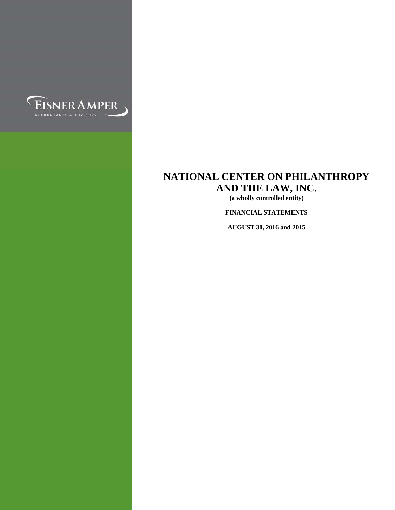

**(a wholly controlled entity)** 

**FINANCIAL STATEMENTS** 

**AUGUST 31, 2016 and 2015**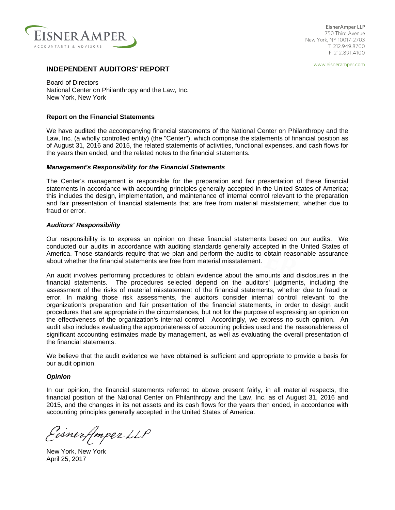

750 Third Avenue New York, NY 10017-2703 T 212.949.8700 F 212.891.4100 EisnerAmper LLP

www.eisneramper.com

# **INDEPENDENT AUDITORS' REPORT**

Board of Directors National Center on Philanthropy and the Law, Inc. New York, New York

#### **Report on the Financial Statements**

We have audited the accompanying financial statements of the National Center on Philanthropy and the Law, Inc. (a wholly controlled entity) (the "Center"), which comprise the statements of financial position as of August 31, 2016 and 2015, the related statements of activities, functional expenses, and cash flows for the years then ended, and the related notes to the financial statements.

#### *Management's Responsibility for the Financial Statements*

The Center's management is responsible for the preparation and fair presentation of these financial statements in accordance with accounting principles generally accepted in the United States of America; this includes the design, implementation, and maintenance of internal control relevant to the preparation and fair presentation of financial statements that are free from material misstatement, whether due to fraud or error.

#### *Auditors' Responsibility*

Our responsibility is to express an opinion on these financial statements based on our audits. We conducted our audits in accordance with auditing standards generally accepted in the United States of America. Those standards require that we plan and perform the audits to obtain reasonable assurance about whether the financial statements are free from material misstatement.

An audit involves performing procedures to obtain evidence about the amounts and disclosures in the financial statements. The procedures selected depend on the auditors' judgments, including the assessment of the risks of material misstatement of the financial statements, whether due to fraud or error. In making those risk assessments, the auditors consider internal control relevant to the organization's preparation and fair presentation of the financial statements, in order to design audit procedures that are appropriate in the circumstances, but not for the purpose of expressing an opinion on the effectiveness of the organization's internal control. Accordingly, we express no such opinion. An audit also includes evaluating the appropriateness of accounting policies used and the reasonableness of significant accounting estimates made by management, as well as evaluating the overall presentation of the financial statements.

We believe that the audit evidence we have obtained is sufficient and appropriate to provide a basis for our audit opinion.

#### *Opinion*

In our opinion, the financial statements referred to above present fairly, in all material respects, the financial position of the National Center on Philanthropy and the Law, Inc. as of August 31, 2016 and 2015, and the changes in its net assets and its cash flows for the years then ended, in accordance with accounting principles generally accepted in the United States of America.

Eisnerfmper LLP

New York, New York April 25, 2017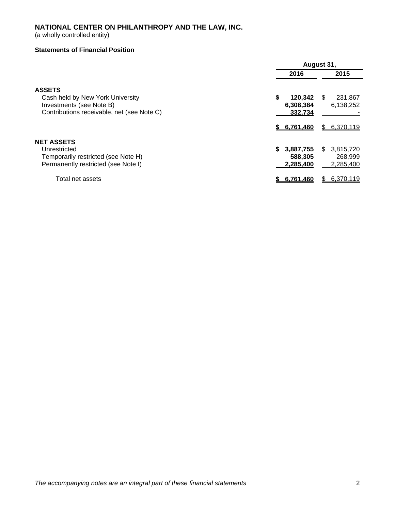(a wholly controlled entity)

# **Statements of Financial Position**

|                                            |                 | August 31,       |
|--------------------------------------------|-----------------|------------------|
|                                            | 2016            | 2015             |
| <b>ASSETS</b>                              |                 |                  |
| Cash held by New York University           | \$<br>120,342   | 231,867<br>\$.   |
| Investments (see Note B)                   | 6,308,384       | 6,138,252        |
| Contributions receivable, net (see Note C) | 332.734         |                  |
|                                            | \$ 6.761.460    | 6,370,119<br>S.  |
| <b>NET ASSETS</b>                          |                 |                  |
| Unrestricted                               | 3,887,755<br>S. | \$.<br>3,815,720 |
| Temporarily restricted (see Note H)        | 588,305         | 268,999          |
| Permanently restricted (see Note I)        | 2.285.400       | 2,285,400        |
| Total net assets                           | 6,761,460       | 6.370.119<br>S.  |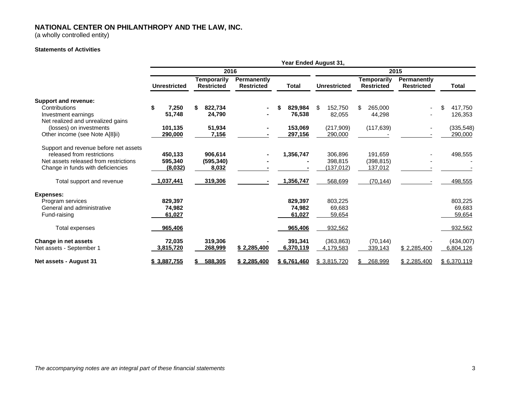(a wholly controlled entity)

#### **Statements of Activities**

|                                       |                     |                                         |                                  |               | Year Ended August 31, |                                         |                                  |               |
|---------------------------------------|---------------------|-----------------------------------------|----------------------------------|---------------|-----------------------|-----------------------------------------|----------------------------------|---------------|
|                                       |                     | 2016                                    |                                  |               |                       |                                         | 2015                             |               |
|                                       | <b>Unrestricted</b> | <b>Temporarily</b><br><b>Restricted</b> | Permanently<br><b>Restricted</b> | <b>Total</b>  | <b>Unrestricted</b>   | <b>Temporarily</b><br><b>Restricted</b> | Permanently<br><b>Restricted</b> | <b>Total</b>  |
| Support and revenue:                  |                     |                                         |                                  |               |                       |                                         |                                  |               |
| Contributions                         | 7,250               | \$<br>822,734                           |                                  | \$<br>829,984 | 152,750<br>S          | 265,000<br>\$                           | $\blacksquare$                   | \$<br>417.750 |
| Investment earnings                   | 51,748              | 24,790                                  |                                  | 76,538        | 82,055                | 44,298                                  |                                  | 126,353       |
| Net realized and unrealized gains     |                     |                                         |                                  |               |                       |                                         |                                  |               |
| (losses) on investments               | 101,135             | 51,934                                  |                                  | 153,069       | (217,909)             | (117, 639)                              |                                  | (335, 548)    |
| Other income (see Note A[8]ii)        | 290,000             | 7,156                                   |                                  | 297,156       | 290,000               |                                         |                                  | 290,000       |
| Support and revenue before net assets |                     |                                         |                                  |               |                       |                                         |                                  |               |
| released from restrictions            | 450,133             | 906,614                                 |                                  | 1,356,747     | 306,896               | 191,659                                 |                                  | 498,555       |
| Net assets released from restrictions | 595,340             | (595, 340)                              |                                  |               | 398,815               | (398, 815)                              |                                  |               |
| Change in funds with deficiencies     | (8,032)             | 8,032                                   |                                  |               | (137, 012)            | 137,012                                 |                                  |               |
| Total support and revenue             | 1,037,441           | 319,306                                 |                                  | 1,356,747     | 568,699               | (70, 144)                               |                                  | 498,555       |
| <b>Expenses:</b>                      |                     |                                         |                                  |               |                       |                                         |                                  |               |
| Program services                      | 829,397             |                                         |                                  | 829,397       | 803,225               |                                         |                                  | 803,225       |
| General and administrative            | 74,982              |                                         |                                  | 74,982        | 69,683                |                                         |                                  | 69,683        |
| Fund-raising                          | 61,027              |                                         |                                  | 61,027        | 59,654                |                                         |                                  | 59,654        |
| Total expenses                        | 965,406             |                                         |                                  | 965,406       | 932,562               |                                         |                                  | 932,562       |
| Change in net assets                  | 72,035              | 319,306                                 |                                  | 391,341       | (363, 863)            | (70, 144)                               |                                  | (434,007)     |
| Net assets - September 1              | 3,815,720           | 268,999                                 | \$2,285,400                      | 6,370,119     | 4,179,583             | 339,143                                 | \$2,285,400                      | 6,804,126     |
| Net assets - August 31                | \$3,887,755         | 588,305                                 | \$2,285,400                      | \$6,761,460   | \$3.815.720           | 268,999<br>S.                           | \$2,285,400                      | \$6,370,119   |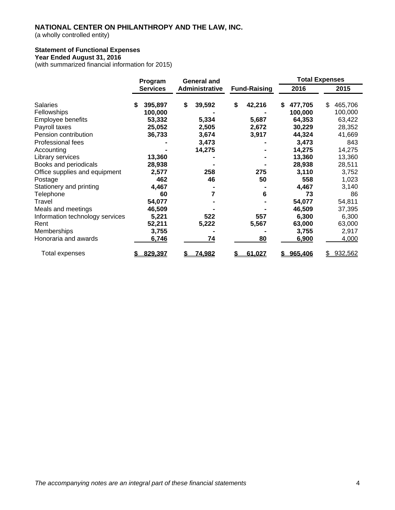(a wholly controlled entity)

# **Statement of Functional Expenses**

# **Year Ended August 31, 2016**

(with summarized financial information for 2015)

|                                 | Program         | <b>General and</b> |    |                     | <b>Total Expenses</b> |           |               |
|---------------------------------|-----------------|--------------------|----|---------------------|-----------------------|-----------|---------------|
|                                 | <b>Services</b> | Administrative     |    | <b>Fund-Raising</b> |                       | 2016      | 2015          |
| <b>Salaries</b>                 | \$<br>395,897   | \$<br>39,592       | \$ | 42,216              | S                     | 477,705   | \$<br>465,706 |
| Fellowships                     | 100,000         |                    |    |                     |                       | 100,000   | 100,000       |
| Employee benefits               | 53,332          | 5,334              |    | 5,687               |                       | 64,353    | 63,422        |
| Payroll taxes                   | 25,052          | 2,505              |    | 2,672               |                       | 30,229    | 28,352        |
| Pension contribution            | 36,733          | 3,674              |    | 3,917               |                       | 44,324    | 41,669        |
| Professional fees               |                 | 3,473              |    |                     |                       | 3,473     | 843           |
| Accounting                      |                 | 14,275             |    |                     |                       | 14,275    | 14,275        |
| Library services                | 13,360          |                    |    |                     |                       | 13,360    | 13,360        |
| Books and periodicals           | 28,938          |                    |    |                     |                       | 28,938    | 28,511        |
| Office supplies and equipment   | 2,577           | 258                |    | 275                 |                       | 3,110     | 3,752         |
| Postage                         | 462             | 46                 |    | 50                  |                       | 558       | 1,023         |
| Stationery and printing         | 4,467           |                    |    |                     |                       | 4,467     | 3,140         |
| Telephone                       | 60              | 7                  |    | 6                   |                       | 73        | 86            |
| Travel                          | 54,077          |                    |    |                     |                       | 54,077    | 54,811        |
| Meals and meetings              | 46,509          |                    |    |                     |                       | 46,509    | 37,395        |
| Information technology services | 5,221           | 522                |    | 557                 |                       | 6,300     | 6,300         |
| Rent                            | 52,211          | 5,222              |    | 5,567               |                       | 63,000    | 63,000        |
| Memberships                     | 3,755           |                    |    |                     |                       | 3,755     | 2,917         |
| Honoraria and awards            | 6,746           | 74                 |    | <b>80</b>           |                       | 6,900     | 4,000         |
| Total expenses                  | 829,397         | \$<br>74,982       |    | 61,027              |                       | \$965,406 | \$<br>932,562 |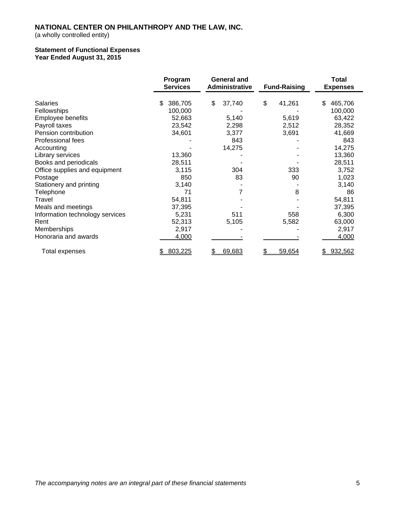(a wholly controlled entity)

#### **Statement of Functional Expenses Year Ended August 31, 2015**

|                                 | Program<br><b>Services</b> | <b>General and</b><br>Administrative | <b>Fund-Raising</b> | <b>Total</b><br><b>Expenses</b> |
|---------------------------------|----------------------------|--------------------------------------|---------------------|---------------------------------|
| Salaries                        | 386,705<br>\$              | \$<br>37,740                         | \$<br>41,261        | \$<br>465,706                   |
| Fellowships                     | 100,000                    |                                      |                     | 100,000                         |
| Employee benefits               | 52,663                     | 5,140                                | 5,619               | 63,422                          |
| Payroll taxes                   | 23,542                     | 2,298                                | 2,512               | 28,352                          |
| Pension contribution            | 34,601                     | 3,377                                | 3,691               | 41,669                          |
| Professional fees               |                            | 843                                  |                     | 843                             |
| Accounting                      |                            | 14,275                               |                     | 14,275                          |
| Library services                | 13,360                     |                                      |                     | 13,360                          |
| Books and periodicals           | 28,511                     |                                      |                     | 28,511                          |
| Office supplies and equipment   | 3,115                      | 304                                  | 333                 | 3,752                           |
| Postage                         | 850                        | 83                                   | 90                  | 1,023                           |
| Stationery and printing         | 3,140                      |                                      |                     | 3,140                           |
| Telephone                       | 71                         | 7                                    | 8                   | 86                              |
| Travel                          | 54,811                     |                                      |                     | 54,811                          |
| Meals and meetings              | 37,395                     |                                      |                     | 37,395                          |
| Information technology services | 5,231                      | 511                                  | 558                 | 6,300                           |
| Rent                            | 52,313                     | 5,105                                | 5,582               | 63,000                          |
| Memberships                     | 2,917                      |                                      |                     | 2,917                           |
| Honoraria and awards            | 4,000                      |                                      |                     | 4,000                           |
| Total expenses                  | 803,225                    | 69,683                               | 59,654<br>\$        | 932,562                         |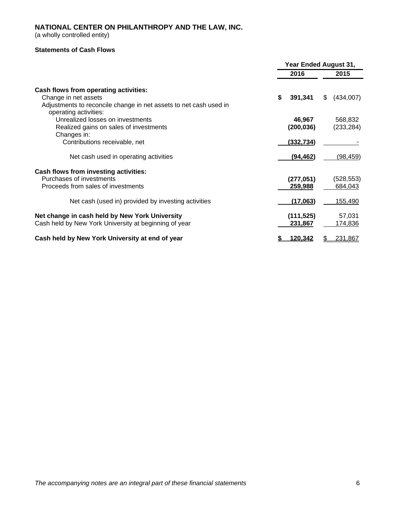(a wholly controlled entity)

# **Statements of Cash Flows**

|                                                                                            | Year Ended August 31, |                  |
|--------------------------------------------------------------------------------------------|-----------------------|------------------|
|                                                                                            | 2016                  | 2015             |
| Cash flows from operating activities:                                                      |                       |                  |
| Change in net assets                                                                       | \$<br>391,341         | (434,007)<br>\$. |
| Adjustments to reconcile change in net assets to net cash used in<br>operating activities: |                       |                  |
| Unrealized losses on investments                                                           | 46,967                | 568,832          |
| Realized gains on sales of investments                                                     | (200, 036)            | (233, 284)       |
| Changes in:                                                                                |                       |                  |
| Contributions receivable, net                                                              | (332, 734)            |                  |
| Net cash used in operating activities                                                      | (94, 462)             | <u>(98,459)</u>  |
| Cash flows from investing activities:                                                      |                       |                  |
| Purchases of investments                                                                   | (277, 051)            | (528, 553)       |
| Proceeds from sales of investments                                                         | 259,988               | 684,043          |
| Net cash (used in) provided by investing activities                                        | (17,063)              | 155,490          |
| Net change in cash held by New York University                                             | (111, 525)            | 57,031           |
| Cash held by New York University at beginning of year                                      | 231,867               | 174,836          |
| Cash held by New York University at end of year                                            | 120,342               | 231,867<br>\$    |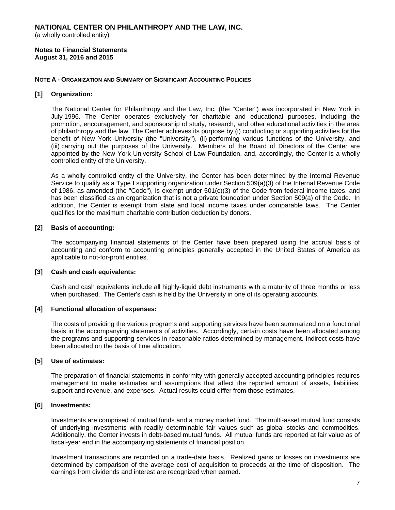(a wholly controlled entity)

**Notes to Financial Statements August 31, 2016 and 2015** 

#### **NOTE A - ORGANIZATION AND SUMMARY OF SIGNIFICANT ACCOUNTING POLICIES**

#### **[1] Organization:**

The National Center for Philanthropy and the Law, Inc. (the "Center") was incorporated in New York in July 1996. The Center operates exclusively for charitable and educational purposes, including the promotion, encouragement, and sponsorship of study, research, and other educational activities in the area of philanthropy and the law. The Center achieves its purpose by (i) conducting or supporting activities for the benefit of New York University (the "University"), (ii) performing various functions of the University, and (iii) carrying out the purposes of the University. Members of the Board of Directors of the Center are appointed by the New York University School of Law Foundation, and, accordingly, the Center is a wholly controlled entity of the University.

As a wholly controlled entity of the University, the Center has been determined by the Internal Revenue Service to qualify as a Type I supporting organization under Section 509(a)(3) of the Internal Revenue Code of 1986, as amended (the "Code"), is exempt under 501(c)(3) of the Code from federal income taxes, and has been classified as an organization that is not a private foundation under Section 509(a) of the Code. In addition, the Center is exempt from state and local income taxes under comparable laws. The Center qualifies for the maximum charitable contribution deduction by donors.

#### **[2] Basis of accounting:**

The accompanying financial statements of the Center have been prepared using the accrual basis of accounting and conform to accounting principles generally accepted in the United States of America as applicable to not-for-profit entities.

#### **[3] Cash and cash equivalents:**

Cash and cash equivalents include all highly-liquid debt instruments with a maturity of three months or less when purchased. The Center's cash is held by the University in one of its operating accounts.

#### **[4] Functional allocation of expenses:**

The costs of providing the various programs and supporting services have been summarized on a functional basis in the accompanying statements of activities. Accordingly, certain costs have been allocated among the programs and supporting services in reasonable ratios determined by management. Indirect costs have been allocated on the basis of time allocation.

# **[5] Use of estimates:**

The preparation of financial statements in conformity with generally accepted accounting principles requires management to make estimates and assumptions that affect the reported amount of assets, liabilities, support and revenue, and expenses. Actual results could differ from those estimates.

#### **[6] Investments:**

Investments are comprised of mutual funds and a money market fund. The multi-asset mutual fund consists of underlying investments with readily determinable fair values such as global stocks and commodities. Additionally, the Center invests in debt-based mutual funds. All mutual funds are reported at fair value as of fiscal-year end in the accompanying statements of financial position.

Investment transactions are recorded on a trade-date basis. Realized gains or losses on investments are determined by comparison of the average cost of acquisition to proceeds at the time of disposition. The earnings from dividends and interest are recognized when earned.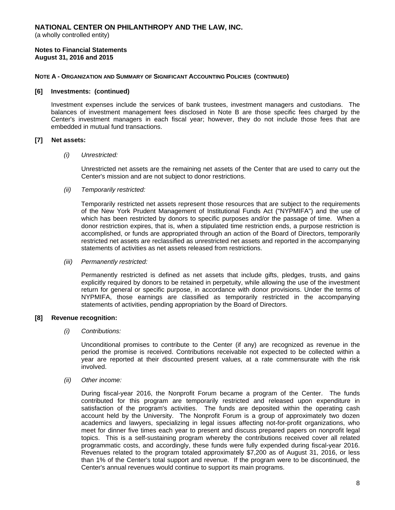(a wholly controlled entity)

#### **Notes to Financial Statements August 31, 2016 and 2015**

### **NOTE A - ORGANIZATION AND SUMMARY OF SIGNIFICANT ACCOUNTING POLICIES (CONTINUED)**

#### **[6] Investments: (continued)**

Investment expenses include the services of bank trustees, investment managers and custodians. The balances of investment management fees disclosed in Note B are those specific fees charged by the Center's investment managers in each fiscal year; however, they do not include those fees that are embedded in mutual fund transactions.

# **[7] Net assets:**

#### *(i) Unrestricted:*

Unrestricted net assets are the remaining net assets of the Center that are used to carry out the Center's mission and are not subject to donor restrictions.

#### *(ii) Temporarily restricted:*

Temporarily restricted net assets represent those resources that are subject to the requirements of the New York Prudent Management of Institutional Funds Act ("NYPMIFA") and the use of which has been restricted by donors to specific purposes and/or the passage of time. When a donor restriction expires, that is, when a stipulated time restriction ends, a purpose restriction is accomplished, or funds are appropriated through an action of the Board of Directors, temporarily restricted net assets are reclassified as unrestricted net assets and reported in the accompanying statements of activities as net assets released from restrictions.

#### *(iii) Permanently restricted:*

Permanently restricted is defined as net assets that include gifts, pledges, trusts, and gains explicitly required by donors to be retained in perpetuity, while allowing the use of the investment return for general or specific purpose, in accordance with donor provisions. Under the terms of NYPMIFA, those earnings are classified as temporarily restricted in the accompanying statements of activities, pending appropriation by the Board of Directors.

#### **[8] Revenue recognition:**

#### *(i) Contributions:*

Unconditional promises to contribute to the Center (if any) are recognized as revenue in the period the promise is received. Contributions receivable not expected to be collected within a year are reported at their discounted present values, at a rate commensurate with the risk involved.

#### *(ii) Other income:*

During fiscal-year 2016, the Nonprofit Forum became a program of the Center. The funds contributed for this program are temporarily restricted and released upon expenditure in satisfaction of the program's activities. The funds are deposited within the operating cash account held by the University. The Nonprofit Forum is a group of approximately two dozen academics and lawyers, specializing in legal issues affecting not-for-profit organizations, who meet for dinner five times each year to present and discuss prepared papers on nonprofit legal topics. This is a self-sustaining program whereby the contributions received cover all related programmatic costs, and accordingly, these funds were fully expended during fiscal-year 2016. Revenues related to the program totaled approximately \$7,200 as of August 31, 2016, or less than 1% of the Center's total support and revenue. If the program were to be discontinued, the Center's annual revenues would continue to support its main programs.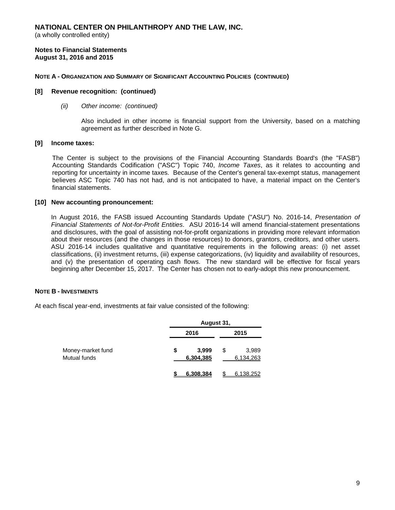(a wholly controlled entity)

**Notes to Financial Statements August 31, 2016 and 2015** 

#### **NOTE A - ORGANIZATION AND SUMMARY OF SIGNIFICANT ACCOUNTING POLICIES (CONTINUED)**

#### **[8] Revenue recognition: (continued)**

#### *(ii) Other income: (continued)*

Also included in other income is financial support from the University, based on a matching agreement as further described in Note G.

#### **[9] Income taxes:**

The Center is subject to the provisions of the Financial Accounting Standards Board's (the "FASB") Accounting Standards Codification ("ASC") Topic 740, *Income Taxes*, as it relates to accounting and reporting for uncertainty in income taxes. Because of the Center's general tax-exempt status, management believes ASC Topic 740 has not had, and is not anticipated to have, a material impact on the Center's financial statements.

#### **[10] New accounting pronouncement:**

In August 2016, the FASB issued Accounting Standards Update ("ASU") No. 2016-14, *Presentation of Financial Statements of Not-for-Profit Entities*. ASU 2016-14 will amend financial-statement presentations and disclosures, with the goal of assisting not-for-profit organizations in providing more relevant information about their resources (and the changes in those resources) to donors, grantors, creditors, and other users. ASU 2016-14 includes qualitative and quantitative requirements in the following areas: (i) net asset classifications, (ii) investment returns, (iii) expense categorizations, (iv) liquidity and availability of resources, and (v) the presentation of operating cash flows. The new standard will be effective for fiscal years beginning after December 15, 2017. The Center has chosen not to early-adopt this new pronouncement.

#### **NOTE B - INVESTMENTS**

At each fiscal year-end, investments at fair value consisted of the following:

|                                   | August 31,               |   |                    |
|-----------------------------------|--------------------------|---|--------------------|
|                                   | 2016                     |   | 2015               |
| Money-market fund<br>Mutual funds | \$<br>3,999<br>6,304,385 | S | 3,989<br>6,134,263 |
|                                   | 6.308.384                |   | 6.138.252          |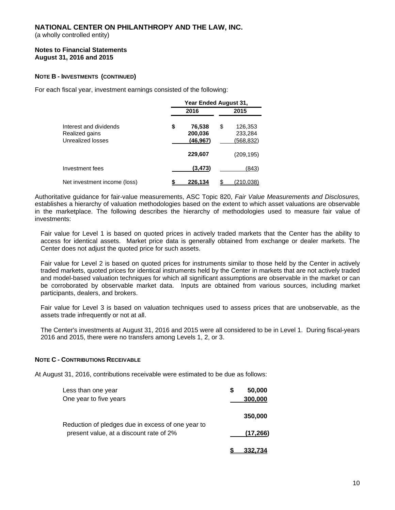(a wholly controlled entity)

#### **Notes to Financial Statements August 31, 2016 and 2015**

# **NOTE B - INVESTMENTS (CONTINUED)**

For each fiscal year, investment earnings consisted of the following:

|                                                               | Year Ended August 31,                |                                       |
|---------------------------------------------------------------|--------------------------------------|---------------------------------------|
|                                                               | 2016                                 | 2015                                  |
| Interest and dividends<br>Realized gains<br>Unrealized losses | \$<br>76,538<br>200,036<br>(46, 967) | \$<br>126,353<br>233,284<br>(568,832) |
|                                                               | 229,607                              | (209,195)                             |
| Investment fees                                               | (3, 473)                             | (843)                                 |
| Net investment income (loss)                                  | 226.134                              | (210,038)                             |

Authoritative guidance for fair-value measurements, ASC Topic 820, *Fair Value Measurements and Disclosures,*  establishes a hierarchy of valuation methodologies based on the extent to which asset valuations are observable in the marketplace. The following describes the hierarchy of methodologies used to measure fair value of investments:

Fair value for Level 1 is based on quoted prices in actively traded markets that the Center has the ability to access for identical assets. Market price data is generally obtained from exchange or dealer markets. The Center does not adjust the quoted price for such assets.

Fair value for Level 2 is based on quoted prices for instruments similar to those held by the Center in actively traded markets, quoted prices for identical instruments held by the Center in markets that are not actively traded and model-based valuation techniques for which all significant assumptions are observable in the market or can be corroborated by observable market data. Inputs are obtained from various sources, including market participants, dealers, and brokers.

Fair value for Level 3 is based on valuation techniques used to assess prices that are unobservable, as the assets trade infrequently or not at all.

The Center's investments at August 31, 2016 and 2015 were all considered to be in Level 1. During fiscal-years 2016 and 2015, there were no transfers among Levels 1, 2, or 3.

#### **NOTE C - CONTRIBUTIONS RECEIVABLE**

At August 31, 2016, contributions receivable were estimated to be due as follows:

| Less than one year                                                                           | S | 50,000    |
|----------------------------------------------------------------------------------------------|---|-----------|
| One year to five years                                                                       |   | 300,000   |
|                                                                                              |   | 350,000   |
| Reduction of pledges due in excess of one year to<br>present value, at a discount rate of 2% |   | (17, 266) |
|                                                                                              |   | 332.734   |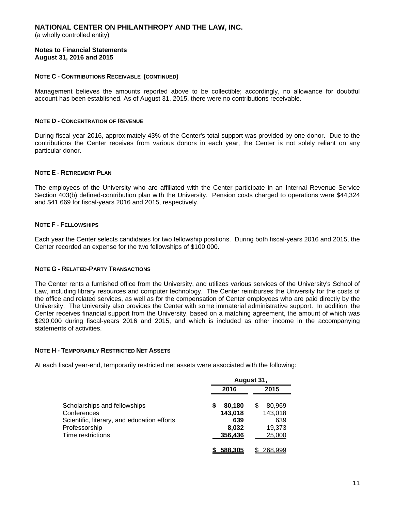(a wholly controlled entity)

#### **Notes to Financial Statements August 31, 2016 and 2015**

### **NOTE C - CONTRIBUTIONS RECEIVABLE (CONTINUED)**

Management believes the amounts reported above to be collectible; accordingly, no allowance for doubtful account has been established. As of August 31, 2015, there were no contributions receivable.

#### **NOTE D - CONCENTRATION OF REVENUE**

During fiscal-year 2016, approximately 43% of the Center's total support was provided by one donor. Due to the contributions the Center receives from various donors in each year, the Center is not solely reliant on any particular donor.

### **NOTE E - RETIREMENT PLAN**

The employees of the University who are affiliated with the Center participate in an Internal Revenue Service Section 403(b) defined-contribution plan with the University. Pension costs charged to operations were \$44,324 and \$41,669 for fiscal-years 2016 and 2015, respectively.

# **NOTE F - FELLOWSHIPS**

Each year the Center selects candidates for two fellowship positions. During both fiscal-years 2016 and 2015, the Center recorded an expense for the two fellowships of \$100,000.

#### **NOTE G - RELATED-PARTY TRANSACTIONS**

The Center rents a furnished office from the University, and utilizes various services of the University's School of Law, including library resources and computer technology. The Center reimburses the University for the costs of the office and related services, as well as for the compensation of Center employees who are paid directly by the University. The University also provides the Center with some immaterial administrative support. In addition, the Center receives financial support from the University, based on a matching agreement, the amount of which was \$290,000 during fiscal-years 2016 and 2015, and which is included as other income in the accompanying statements of activities.

#### **NOTE H - TEMPORARILY RESTRICTED NET ASSETS**

At each fiscal year-end, temporarily restricted net assets were associated with the following:

|                                             |                        | August 31,        |
|---------------------------------------------|------------------------|-------------------|
|                                             | 2016                   | 2015              |
| Scholarships and fellowships<br>Conferences | 80,180<br>S<br>143,018 | 80,969<br>143,018 |
| Scientific, literary, and education efforts | 639                    | 639               |
| Professorship<br>Time restrictions          | 8,032<br>356,436       | 19,373<br>25,000  |
|                                             | 588.305                | 268.999           |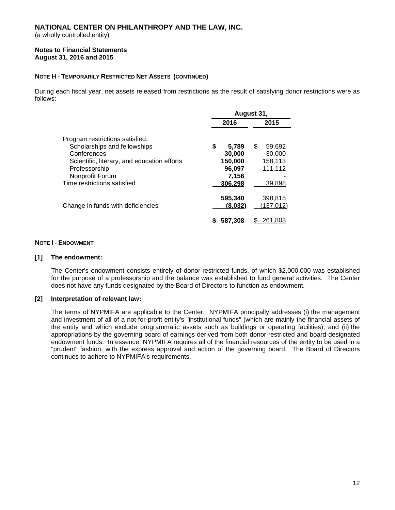(a wholly controlled entity)

#### **Notes to Financial Statements August 31, 2016 and 2015**

# **NOTE H - TEMPORARILY RESTRICTED NET ASSETS (CONTINUED)**

During each fiscal year, net assets released from restrictions as the result of satisfying donor restrictions were as follows:

|                                                                             | August 31,                  |   |                              |
|-----------------------------------------------------------------------------|-----------------------------|---|------------------------------|
|                                                                             | 2016                        |   | 2015                         |
| Program restrictions satisfied:<br>Scholarships and fellowships             | \$<br>5,789                 | S | 59,692                       |
| Conferences<br>Scientific, literary, and education efforts<br>Professorship | 30,000<br>150,000<br>96,097 |   | 30,000<br>158,113<br>111,112 |
| Nonprofit Forum<br>Time restrictions satisfied                              | 7,156<br>306,298            |   | 39,898                       |
| Change in funds with deficiencies                                           | 595,340<br>(8,032)          |   | 398,815<br>(137, 012)        |
|                                                                             |                             |   | 261.803                      |

# **NOTE I - ENDOWMENT**

#### **[1] The endowment:**

The Center's endowment consists entirely of donor-restricted funds, of which \$2,000,000 was established for the purpose of a professorship and the balance was established to fund general activities. The Center does not have any funds designated by the Board of Directors to function as endowment.

#### **[2] Interpretation of relevant law:**

The terms of NYPMIFA are applicable to the Center. NYPMIFA principally addresses (i) the management and investment of all of a not-for-profit entity's "institutional funds" (which are mainly the financial assets of the entity and which exclude programmatic assets such as buildings or operating facilities), and (ii) the appropriations by the governing board of earnings derived from both donor-restricted and board-designated endowment funds. In essence, NYPMIFA requires all of the financial resources of the entity to be used in a "prudent" fashion, with the express approval and action of the governing board. The Board of Directors continues to adhere to NYPMIFA's requirements.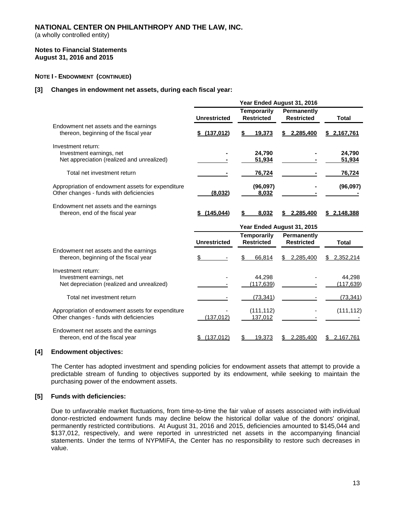(a wholly controlled entity)

#### **Notes to Financial Statements August 31, 2016 and 2015**

### **NOTE I - ENDOWMENT (CONTINUED)**

#### **[3] Changes in endowment net assets, during each fiscal year:**

|                                                                                              |                     |                                         | Year Ended August 31, 2016       |                      |
|----------------------------------------------------------------------------------------------|---------------------|-----------------------------------------|----------------------------------|----------------------|
|                                                                                              | <b>Unrestricted</b> | <b>Temporarily</b><br><b>Restricted</b> | Permanently<br><b>Restricted</b> | <b>Total</b>         |
| Endowment net assets and the earnings<br>thereon, beginning of the fiscal year               | \$ (137,012)        | \$<br>19,373                            | 2,285,400<br>\$                  | \$2,167,761          |
| Investment return:<br>Investment earnings, net<br>Net appreciation (realized and unrealized) |                     | 24.790<br>51,934                        |                                  | 24,790<br>51,934     |
| Total net investment return                                                                  |                     | 76,724                                  |                                  | 76,724               |
| Appropriation of endowment assets for expenditure<br>Other changes - funds with deficiencies | (8,032)             | (96,097)<br>8,032                       |                                  | (96,097)             |
| Endowment net assets and the earnings<br>thereon, end of the fiscal year                     | \$(145,044)         | 8.032                                   | 2.285.400                        | <u>\$2.148.388</u>   |
|                                                                                              |                     |                                         |                                  |                      |
|                                                                                              |                     |                                         | Year Ended August 31, 2015       |                      |
|                                                                                              | <b>Unrestricted</b> | <b>Temporarily</b><br><b>Restricted</b> | Permanently<br><b>Restricted</b> | <b>Total</b>         |
| Endowment net assets and the earnings<br>thereon, beginning of the fiscal year               | \$                  | \$<br>66,814                            | 2,285,400<br>\$                  | \$<br>2,352,214      |
| Investment return:<br>Investment earnings, net<br>Net depreciation (realized and unrealized) |                     | 44,298<br>(117, 639)                    |                                  | 44,298<br>(117, 639) |
| Total net investment return                                                                  |                     | (73, 341)                               |                                  | (73, 341)            |
| Appropriation of endowment assets for expenditure<br>Other changes - funds with deficiencies | (137, 012)          | (111, 112)<br>137,012                   |                                  | (111, 112)           |

#### **[4] Endowment objectives:**

The Center has adopted investment and spending policies for endowment assets that attempt to provide a predictable stream of funding to objectives supported by its endowment, while seeking to maintain the purchasing power of the endowment assets.

#### **[5] Funds with deficiencies:**

Due to unfavorable market fluctuations, from time-to-time the fair value of assets associated with individual donor-restricted endowment funds may decline below the historical dollar value of the donors' original, permanently restricted contributions. At August 31, 2016 and 2015, deficiencies amounted to \$145,044 and \$137,012, respectively, and were reported in unrestricted net assets in the accompanying financial statements. Under the terms of NYPMIFA, the Center has no responsibility to restore such decreases in value.